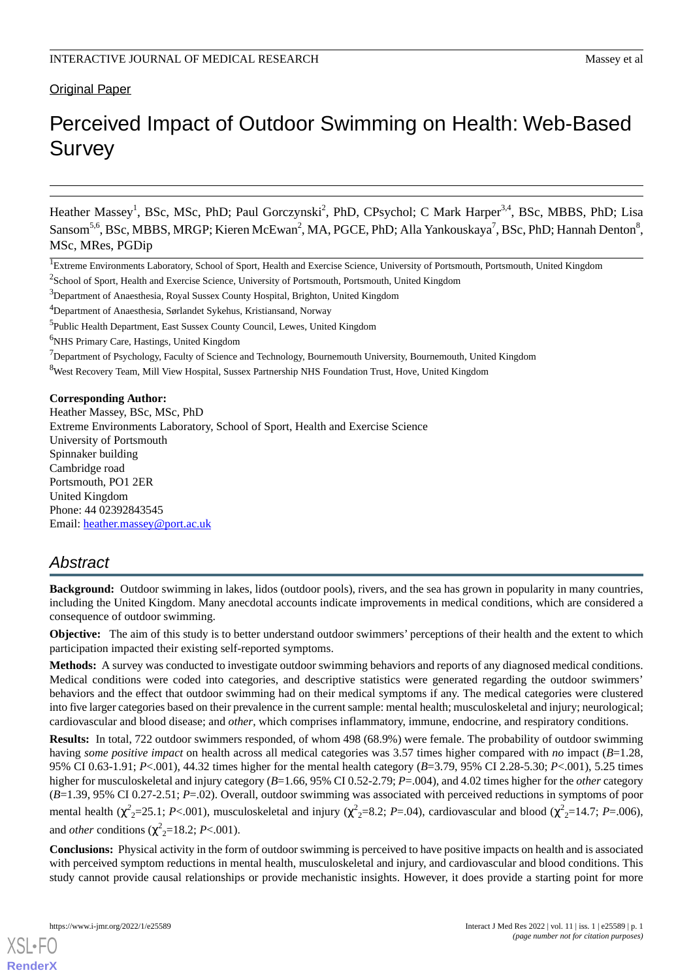### **Original Paper**

# Perceived Impact of Outdoor Swimming on Health: Web-Based **Survey**

Heather Massey<sup>1</sup>, BSc, MSc, PhD; Paul Gorczynski<sup>2</sup>, PhD, CPsychol; C Mark Harper<sup>3,4</sup>, BSc, MBBS, PhD; Lisa Sansom<sup>5,6</sup>, BSc, MBBS, MRGP; Kieren McEwan<sup>2</sup>, MA, PGCE, PhD; Alla Yankouskaya<sup>7</sup>, BSc, PhD; Hannah Denton<sup>8</sup>, MSc, MRes, PGDip

<sup>6</sup>NHS Primary Care, Hastings, United Kingdom

<sup>8</sup>West Recovery Team, Mill View Hospital, Sussex Partnership NHS Foundation Trust, Hove, United Kingdom

#### **Corresponding Author:**

Heather Massey, BSc, MSc, PhD Extreme Environments Laboratory, School of Sport, Health and Exercise Science University of Portsmouth Spinnaker building Cambridge road Portsmouth, PO1 2ER United Kingdom Phone: 44 02392843545 Email: [heather.massey@port.ac.uk](mailto:heather.massey@port.ac.uk)

### *Abstract*

**Background:** Outdoor swimming in lakes, lidos (outdoor pools), rivers, and the sea has grown in popularity in many countries, including the United Kingdom. Many anecdotal accounts indicate improvements in medical conditions, which are considered a consequence of outdoor swimming.

**Objective:** The aim of this study is to better understand outdoor swimmers' perceptions of their health and the extent to which participation impacted their existing self-reported symptoms.

**Methods:** A survey was conducted to investigate outdoor swimming behaviors and reports of any diagnosed medical conditions. Medical conditions were coded into categories, and descriptive statistics were generated regarding the outdoor swimmers' behaviors and the effect that outdoor swimming had on their medical symptoms if any. The medical categories were clustered into five larger categories based on their prevalence in the current sample: mental health; musculoskeletal and injury; neurological; cardiovascular and blood disease; and *other*, which comprises inflammatory, immune, endocrine, and respiratory conditions.

**Results:** In total, 722 outdoor swimmers responded, of whom 498 (68.9%) were female. The probability of outdoor swimming having *some positive impact* on health across all medical categories was 3.57 times higher compared with *no* impact (*B*=1.28, 95% CI 0.63-1.91; *P*<.001), 44.32 times higher for the mental health category (*B*=3.79, 95% CI 2.28-5.30; *P*<.001), 5.25 times higher for musculoskeletal and injury category (*B*=1.66, 95% CI 0.52-2.79; *P*=.004), and 4.02 times higher for the *other* category (*B*=1.39, 95% CI 0.27-2.51; *P*=.02). Overall, outdoor swimming was associated with perceived reductions in symptoms of poor mental health ( $\chi^2$ <sub>2</sub>=25.1; *P*<.001), musculoskeletal and injury ( $\chi^2$ <sub>2</sub>=8.2; *P*=.04), cardiovascular and blood ( $\chi^2$ <sub>2</sub>=14.7; *P*=.006), and *other* conditions ( $\chi^2$ <sub>2</sub>=18.2; *P*<.001).

**Conclusions:** Physical activity in the form of outdoor swimming is perceived to have positive impacts on health and is associated with perceived symptom reductions in mental health, musculoskeletal and injury, and cardiovascular and blood conditions. This study cannot provide causal relationships or provide mechanistic insights. However, it does provide a starting point for more

<sup>&</sup>lt;sup>1</sup>Extreme Environments Laboratory, School of Sport, Health and Exercise Science, University of Portsmouth, Portsmouth, United Kingdom

 $2$ School of Sport, Health and Exercise Science, University of Portsmouth, Portsmouth, United Kingdom

<sup>&</sup>lt;sup>3</sup>Department of Anaesthesia, Royal Sussex County Hospital, Brighton, United Kingdom

<sup>4</sup>Department of Anaesthesia, Sørlandet Sykehus, Kristiansand, Norway

<sup>&</sup>lt;sup>5</sup>Public Health Department, East Sussex County Council, Lewes, United Kingdom

 $<sup>7</sup>$ Department of Psychology, Faculty of Science and Technology, Bournemouth University, Bournemouth, United Kingdom</sup>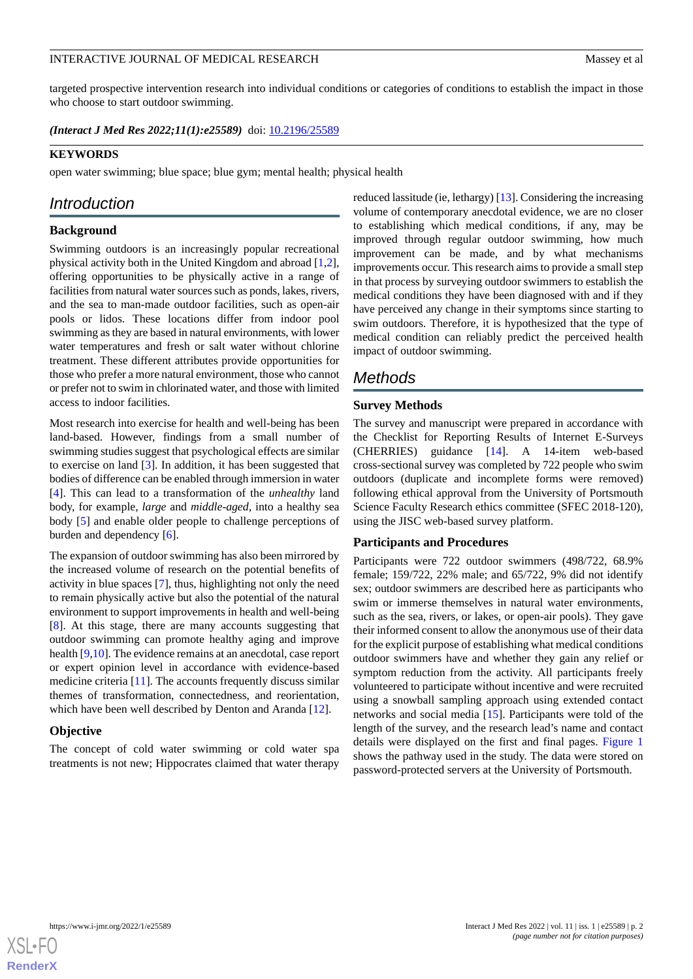targeted prospective intervention research into individual conditions or categories of conditions to establish the impact in those who choose to start outdoor swimming.

*(Interact J Med Res 2022;11(1):e25589)* doi:  $10.2196/25589$ 

#### **KEYWORDS**

open water swimming; blue space; blue gym; mental health; physical health

### *Introduction*

#### **Background**

Swimming outdoors is an increasingly popular recreational physical activity both in the United Kingdom and abroad [\[1](#page-12-0),[2\]](#page-12-1), offering opportunities to be physically active in a range of facilities from natural water sources such as ponds, lakes, rivers, and the sea to man-made outdoor facilities, such as open-air pools or lidos. These locations differ from indoor pool swimming as they are based in natural environments, with lower water temperatures and fresh or salt water without chlorine treatment. These different attributes provide opportunities for those who prefer a more natural environment, those who cannot or prefer not to swim in chlorinated water, and those with limited access to indoor facilities.

Most research into exercise for health and well-being has been land-based. However, findings from a small number of swimming studies suggest that psychological effects are similar to exercise on land [[3\]](#page-12-2). In addition, it has been suggested that bodies of difference can be enabled through immersion in water [[4\]](#page-12-3). This can lead to a transformation of the *unhealthy* land body, for example, *large* and *middle-aged*, into a healthy sea body [\[5](#page-12-4)] and enable older people to challenge perceptions of burden and dependency [[6\]](#page-12-5).

The expansion of outdoor swimming has also been mirrored by the increased volume of research on the potential benefits of activity in blue spaces [\[7\]](#page-12-6), thus, highlighting not only the need to remain physically active but also the potential of the natural environment to support improvements in health and well-being [[8\]](#page-12-7). At this stage, there are many accounts suggesting that outdoor swimming can promote healthy aging and improve health [\[9](#page-12-8),[10\]](#page-12-9). The evidence remains at an anecdotal, case report or expert opinion level in accordance with evidence-based medicine criteria [[11\]](#page-12-10). The accounts frequently discuss similar themes of transformation, connectedness, and reorientation, which have been well described by Denton and Aranda [\[12](#page-12-11)].

#### **Objective**

The concept of cold water swimming or cold water spa treatments is not new; Hippocrates claimed that water therapy

reduced lassitude (ie, lethargy) [[13\]](#page-12-12). Considering the increasing volume of contemporary anecdotal evidence, we are no closer to establishing which medical conditions, if any, may be improved through regular outdoor swimming, how much improvement can be made, and by what mechanisms improvements occur. This research aims to provide a small step in that process by surveying outdoor swimmers to establish the medical conditions they have been diagnosed with and if they have perceived any change in their symptoms since starting to swim outdoors. Therefore, it is hypothesized that the type of medical condition can reliably predict the perceived health impact of outdoor swimming.

## *Methods*

### **Survey Methods**

The survey and manuscript were prepared in accordance with the Checklist for Reporting Results of Internet E-Surveys (CHERRIES) guidance [\[14](#page-12-13)]. A 14-item web-based cross-sectional survey was completed by 722 people who swim outdoors (duplicate and incomplete forms were removed) following ethical approval from the University of Portsmouth Science Faculty Research ethics committee (SFEC 2018-120), using the JISC web-based survey platform.

#### **Participants and Procedures**

Participants were 722 outdoor swimmers (498/722, 68.9% female; 159/722, 22% male; and 65/722, 9% did not identify sex; outdoor swimmers are described here as participants who swim or immerse themselves in natural water environments, such as the sea, rivers, or lakes, or open-air pools). They gave their informed consent to allow the anonymous use of their data for the explicit purpose of establishing what medical conditions outdoor swimmers have and whether they gain any relief or symptom reduction from the activity. All participants freely volunteered to participate without incentive and were recruited using a snowball sampling approach using extended contact networks and social media [\[15](#page-13-0)]. Participants were told of the length of the survey, and the research lead's name and contact details were displayed on the first and final pages. [Figure 1](#page-2-0) shows the pathway used in the study. The data were stored on password-protected servers at the University of Portsmouth.

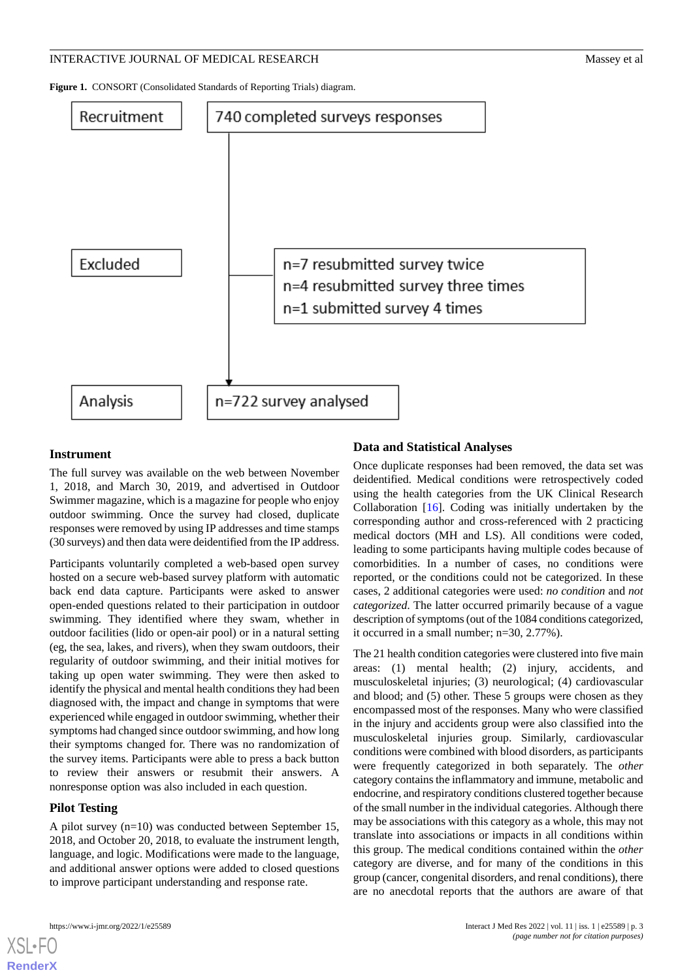<span id="page-2-0"></span>**Figure 1.** CONSORT (Consolidated Standards of Reporting Trials) diagram.



#### **Instrument**

The full survey was available on the web between November 1, 2018, and March 30, 2019, and advertised in Outdoor Swimmer magazine, which is a magazine for people who enjoy outdoor swimming. Once the survey had closed, duplicate responses were removed by using IP addresses and time stamps (30 surveys) and then data were deidentified from the IP address.

Participants voluntarily completed a web-based open survey hosted on a secure web-based survey platform with automatic back end data capture. Participants were asked to answer open-ended questions related to their participation in outdoor swimming. They identified where they swam, whether in outdoor facilities (lido or open-air pool) or in a natural setting (eg, the sea, lakes, and rivers), when they swam outdoors, their regularity of outdoor swimming, and their initial motives for taking up open water swimming. They were then asked to identify the physical and mental health conditions they had been diagnosed with, the impact and change in symptoms that were experienced while engaged in outdoor swimming, whether their symptoms had changed since outdoor swimming, and how long their symptoms changed for. There was no randomization of the survey items. Participants were able to press a back button to review their answers or resubmit their answers. A nonresponse option was also included in each question.

#### **Pilot Testing**

A pilot survey (n=10) was conducted between September 15, 2018, and October 20, 2018, to evaluate the instrument length, language, and logic. Modifications were made to the language, and additional answer options were added to closed questions to improve participant understanding and response rate.

### **Data and Statistical Analyses**

Once duplicate responses had been removed, the data set was deidentified. Medical conditions were retrospectively coded using the health categories from the UK Clinical Research Collaboration [[16\]](#page-13-1). Coding was initially undertaken by the corresponding author and cross-referenced with 2 practicing medical doctors (MH and LS). All conditions were coded, leading to some participants having multiple codes because of comorbidities. In a number of cases, no conditions were reported, or the conditions could not be categorized. In these cases, 2 additional categories were used: *no condition* and *not categorized*. The latter occurred primarily because of a vague description of symptoms (out of the 1084 conditions categorized, it occurred in a small number; n=30, 2.77%).

The 21 health condition categories were clustered into five main areas: (1) mental health; (2) injury, accidents, and musculoskeletal injuries; (3) neurological; (4) cardiovascular and blood; and (5) other. These 5 groups were chosen as they encompassed most of the responses. Many who were classified in the injury and accidents group were also classified into the musculoskeletal injuries group. Similarly, cardiovascular conditions were combined with blood disorders, as participants were frequently categorized in both separately. The *other* category contains the inflammatory and immune, metabolic and endocrine, and respiratory conditions clustered together because of the small number in the individual categories. Although there may be associations with this category as a whole, this may not translate into associations or impacts in all conditions within this group. The medical conditions contained within the *other* category are diverse, and for many of the conditions in this group (cancer, congenital disorders, and renal conditions), there are no anecdotal reports that the authors are aware of that

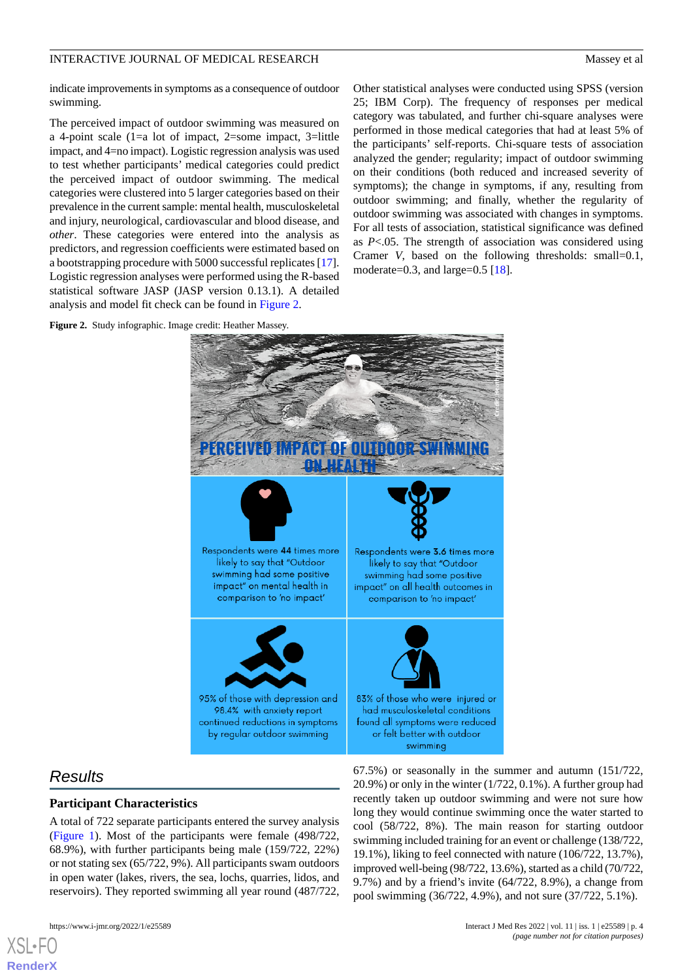indicate improvements in symptoms as a consequence of outdoor swimming.

The perceived impact of outdoor swimming was measured on a 4-point scale (1=a lot of impact, 2=some impact, 3=little impact, and 4=no impact). Logistic regression analysis was used to test whether participants' medical categories could predict the perceived impact of outdoor swimming. The medical categories were clustered into 5 larger categories based on their prevalence in the current sample: mental health, musculoskeletal and injury, neurological, cardiovascular and blood disease, and *other*. These categories were entered into the analysis as predictors, and regression coefficients were estimated based on a bootstrapping procedure with 5000 successful replicates [[17\]](#page-13-2). Logistic regression analyses were performed using the R-based statistical software JASP (JASP version 0.13.1). A detailed analysis and model fit check can be found in [Figure 2.](#page-3-0)

Other statistical analyses were conducted using SPSS (version 25; IBM Corp). The frequency of responses per medical category was tabulated, and further chi-square analyses were performed in those medical categories that had at least 5% of the participants' self-reports. Chi-square tests of association analyzed the gender; regularity; impact of outdoor swimming on their conditions (both reduced and increased severity of symptoms); the change in symptoms, if any, resulting from outdoor swimming; and finally, whether the regularity of outdoor swimming was associated with changes in symptoms. For all tests of association, statistical significance was defined as *P*<.05. The strength of association was considered using Cramer *V*, based on the following thresholds: small=0.1, moderate=0.3, and large=0.5  $[18]$  $[18]$ .

<span id="page-3-0"></span>



### *Results*

[XSL](http://www.w3.org/Style/XSL)•FO **[RenderX](http://www.renderx.com/)**

#### **Participant Characteristics**

A total of 722 separate participants entered the survey analysis ([Figure 1](#page-2-0)). Most of the participants were female (498/722, 68.9%), with further participants being male (159/722, 22%) or not stating sex (65/722, 9%). All participants swam outdoors in open water (lakes, rivers, the sea, lochs, quarries, lidos, and reservoirs). They reported swimming all year round (487/722,

67.5%) or seasonally in the summer and autumn (151/722, 20.9%) or only in the winter (1/722, 0.1%). A further group had recently taken up outdoor swimming and were not sure how long they would continue swimming once the water started to cool (58/722, 8%). The main reason for starting outdoor swimming included training for an event or challenge (138/722, 19.1%), liking to feel connected with nature (106/722, 13.7%), improved well-being (98/722, 13.6%), started as a child (70/722, 9.7%) and by a friend's invite (64/722, 8.9%), a change from pool swimming (36/722, 4.9%), and not sure (37/722, 5.1%).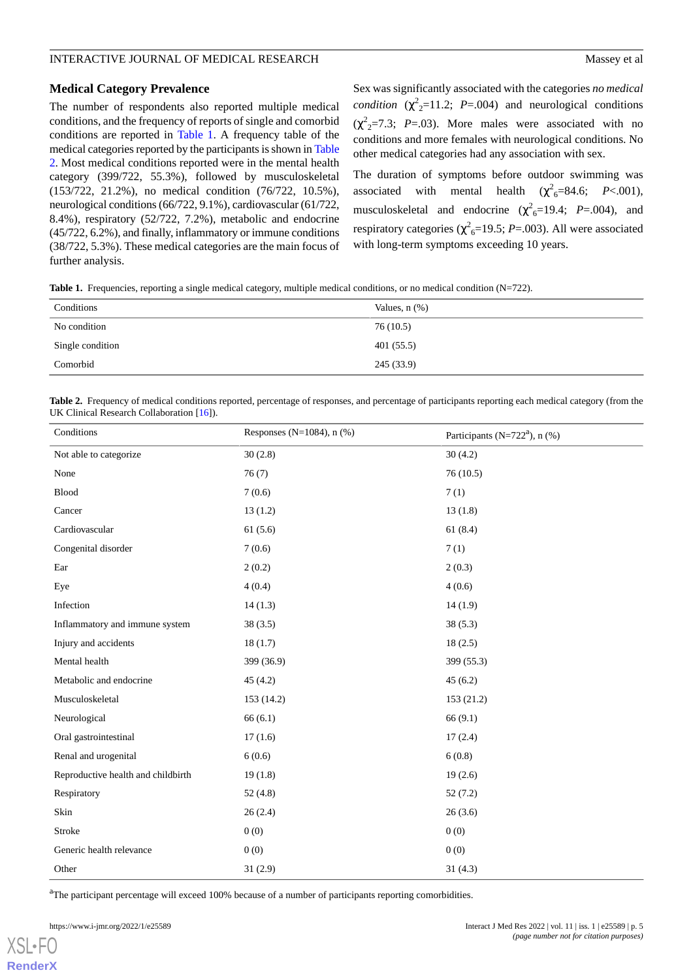#### **Medical Category Prevalence**

The number of respondents also reported multiple medical conditions, and the frequency of reports of single and comorbid conditions are reported in [Table 1](#page-4-0). A frequency table of the medical categories reported by the participants is shown in [Table](#page-4-1) [2.](#page-4-1) Most medical conditions reported were in the mental health category (399/722, 55.3%), followed by musculoskeletal (153/722, 21.2%), no medical condition (76/722, 10.5%), neurological conditions (66/722, 9.1%), cardiovascular (61/722, 8.4%), respiratory (52/722, 7.2%), metabolic and endocrine (45/722, 6.2%), and finally, inflammatory or immune conditions (38/722, 5.3%). These medical categories are the main focus of further analysis.

Sex was significantly associated with the categories *no medical condition*  $(\chi^2_{2} = 11.2; P = .004)$  and neurological conditions  $(\chi^2_{2} = 7.3; P = .03)$ . More males were associated with no conditions and more females with neurological conditions. No other medical categories had any association with sex.

The duration of symptoms before outdoor swimming was associated with mental health  $(\chi^2_{6} = 84.6; P < .001)$ , musculoskeletal and endocrine  $(\chi^2_{6} = 19.4; P = .004)$ , and respiratory categories ( $\chi^2_{6}$ =19.5; *P*=.003). All were associated with long-term symptoms exceeding 10 years.

<span id="page-4-0"></span>**Table 1.** Frequencies, reporting a single medical category, multiple medical conditions, or no medical condition (N=722).

| Conditions       | Values, $n$ $(\%)$ |
|------------------|--------------------|
| No condition     | 76 (10.5)          |
| Single condition | 401(55.5)          |
| Comorbid         | 245(33.9)          |

<span id="page-4-1"></span>Table 2. Frequency of medical conditions reported, percentage of responses, and percentage of participants reporting each medical category (from the UK Clinical Research Collaboration [[16](#page-13-1)]).

| Conditions                         | Responses (N=1084), $n$ (%) | Participants ( $N=722a$ ), n (%) |  |
|------------------------------------|-----------------------------|----------------------------------|--|
| Not able to categorize             | 30(2.8)                     | 30(4.2)                          |  |
| None                               | 76(7)                       | 76(10.5)                         |  |
| <b>Blood</b>                       | 7(0.6)                      | 7(1)                             |  |
| Cancer                             | 13(1.2)                     | 13(1.8)                          |  |
| Cardiovascular                     | 61(5.6)                     | 61(8.4)                          |  |
| Congenital disorder                | 7(0.6)                      | 7(1)                             |  |
| Ear                                | 2(0.2)                      | 2(0.3)                           |  |
| Eye                                | 4(0.4)                      | 4(0.6)                           |  |
| Infection                          | 14(1.3)                     | 14(1.9)                          |  |
| Inflammatory and immune system     | 38(3.5)                     | 38(5.3)                          |  |
| Injury and accidents               | 18(1.7)                     | 18(2.5)                          |  |
| Mental health                      | 399 (36.9)                  | 399 (55.3)                       |  |
| Metabolic and endocrine            | 45(4.2)                     | 45(6.2)                          |  |
| Musculoskeletal                    | 153 (14.2)                  | 153 (21.2)                       |  |
| Neurological                       | 66(6.1)                     | 66(9.1)                          |  |
| Oral gastrointestinal              | 17(1.6)                     | 17(2.4)                          |  |
| Renal and urogenital               | 6(0.6)                      | 6(0.8)                           |  |
| Reproductive health and childbirth | 19(1.8)                     | 19(2.6)                          |  |
| Respiratory                        | 52(4.8)                     | 52(7.2)                          |  |
| Skin                               | 26(2.4)                     | 26(3.6)                          |  |
| Stroke                             | 0(0)                        | 0(0)                             |  |
| Generic health relevance           | 0(0)                        | 0(0)                             |  |
| Other                              | 31(2.9)                     | 31(4.3)                          |  |

<sup>a</sup>The participant percentage will exceed 100% because of a number of participants reporting comorbidities.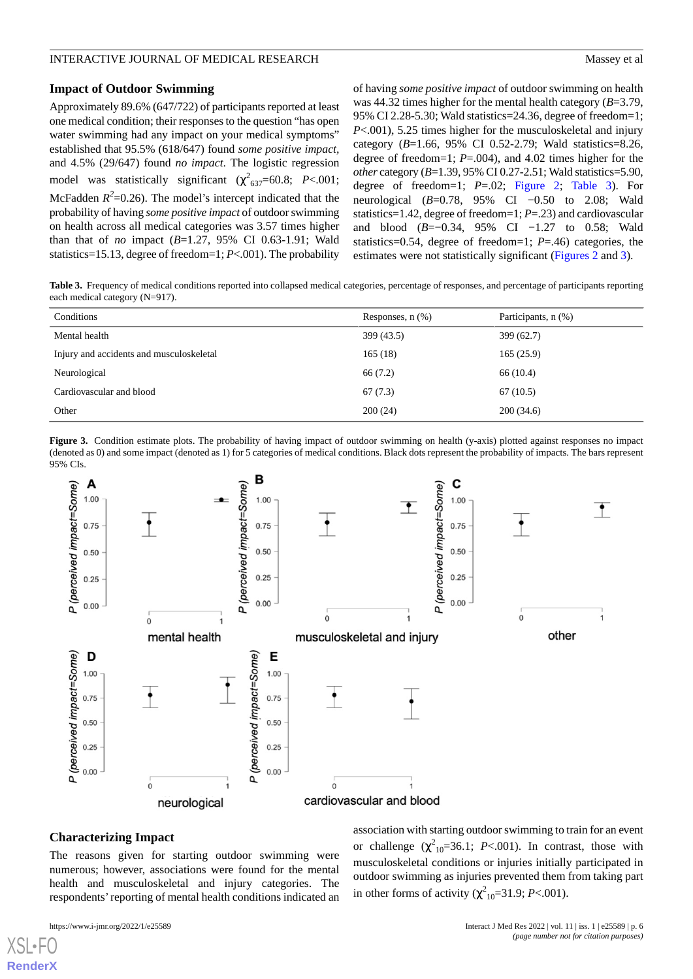#### **Impact of Outdoor Swimming**

Approximately 89.6% (647/722) of participants reported at least one medical condition; their responses to the question "has open water swimming had any impact on your medical symptoms" established that 95.5% (618/647) found *some positive impact,* and 4.5% (29/647) found *no impact*. The logistic regression model was statistically significant  $(\chi^2_{637} = 60.8; P < .001;$ McFadden  $R^2$ =0.26). The model's intercept indicated that the probability of having *some positive impact* of outdoor swimming on health across all medical categories was 3.57 times higher than that of *no* impact (*B*=1.27, 95% CI 0.63-1.91; Wald statistics=15.13, degree of freedom=1; *P*<.001). The probability of having *some positive impact* of outdoor swimming on health was 44.32 times higher for the mental health category (*B*=3.79, 95% CI 2.28-5.30; Wald statistics=24.36, degree of freedom=1; *P*<.001), 5.25 times higher for the musculoskeletal and injury category (*B*=1.66, 95% CI 0.52-2.79; Wald statistics=8.26, degree of freedom=1; *P*=.004), and 4.02 times higher for the *other* category (*B*=1.39, 95% CI 0.27-2.51; Wald statistics=5.90, degree of freedom=1; *P*=.02; [Figure 2;](#page-3-0) [Table 3\)](#page-5-0). For neurological (*B*=0.78, 95% CI −0.50 to 2.08; Wald statistics=1.42, degree of freedom=1; *P*=.23) and cardiovascular and blood (*B*=−0.34, 95% CI −1.27 to 0.58; Wald statistics=0.54, degree of freedom=1; *P*=.46) categories, the estimates were not statistically significant [\(Figures 2](#page-3-0) and [3](#page-5-1)).

<span id="page-5-0"></span>**Table 3.** Frequency of medical conditions reported into collapsed medical categories, percentage of responses, and percentage of participants reporting each medical category (N=917).

| Conditions                               | Responses, $n$ $(\%)$ | Participants, n (%) |
|------------------------------------------|-----------------------|---------------------|
| Mental health                            | 399 (43.5)            | 399(62.7)           |
| Injury and accidents and musculoskeletal | 165(18)               | 165(25.9)           |
| Neurological                             | 66 (7.2)              | 66 (10.4)           |
| Cardiovascular and blood                 | 67(7.3)               | 67(10.5)            |
| Other                                    | 200(24)               | 200(34.6)           |

<span id="page-5-1"></span>**Figure 3.** Condition estimate plots. The probability of having impact of outdoor swimming on health (y-axis) plotted against responses no impact (denoted as 0) and some impact (denoted as 1) for 5 categories of medical conditions. Black dots represent the probability of impacts. The bars represent 95% CIs.



#### **Characterizing Impact**

The reasons given for starting outdoor swimming were numerous; however, associations were found for the mental health and musculoskeletal and injury categories. The respondents'reporting of mental health conditions indicated an

[XSL](http://www.w3.org/Style/XSL)•FO **[RenderX](http://www.renderx.com/)**

association with starting outdoor swimming to train for an event or challenge  $(\chi^2_{10}=36.1; P<.001)$ . In contrast, those with musculoskeletal conditions or injuries initially participated in outdoor swimming as injuries prevented them from taking part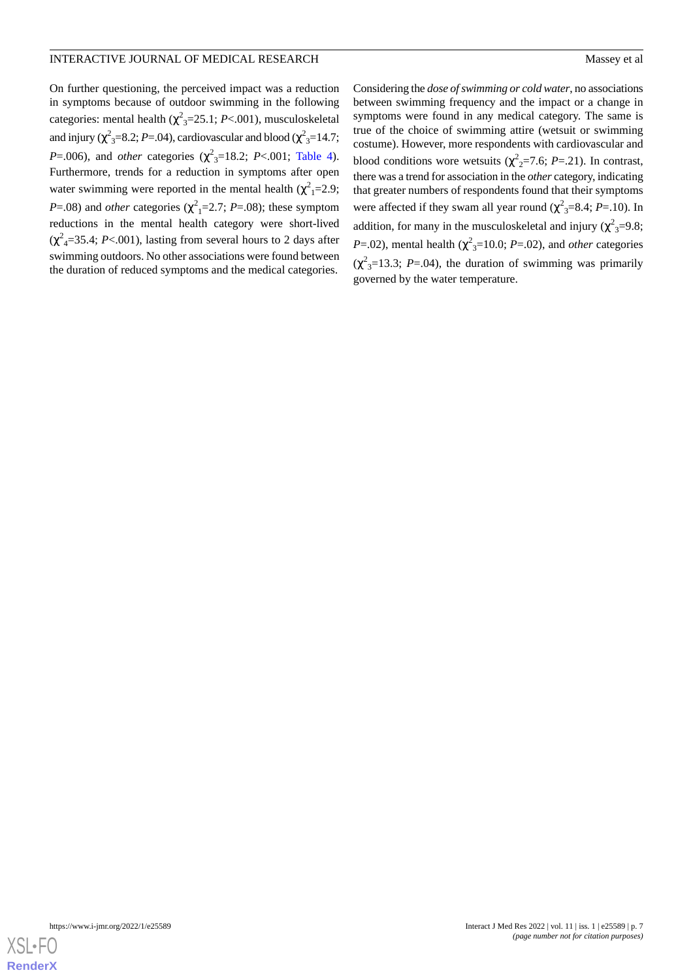On further questioning, the perceived impact was a reduction in symptoms because of outdoor swimming in the following categories: mental health (χ 2 <sup>3</sup>=25.1; *P*<.001), musculoskeletal and injury ( $\chi^2$ <sub>3</sub>=8.2; *P*=.04), cardiovascular and blood ( $\chi^2$ <sub>3</sub>=14.7; *P*=.006), and *other* categories ( $\chi^2_{3}$ =18.2; *P*<.001; [Table 4\)](#page-7-0). Furthermore, trends for a reduction in symptoms after open water swimming were reported in the mental health  $(\chi^2_{1} = 2.9)$ ;  $P = .08$ ) and *other* categories ( $\chi^2$ <sub>1</sub>=2.7; *P*=.08); these symptom reductions in the mental health category were short-lived  $(\chi^2_{\mu} = 35.4; P < .001)$ , lasting from several hours to 2 days after swimming outdoors. No other associations were found between the duration of reduced symptoms and the medical categories.

Considering the *dose of swimming or cold water*, no associations between swimming frequency and the impact or a change in symptoms were found in any medical category. The same is true of the choice of swimming attire (wetsuit or swimming costume). However, more respondents with cardiovascular and blood conditions wore wetsuits  $(\chi^2_{2} = 7.6; P = .21)$ . In contrast, there was a trend for association in the *other* category, indicating that greater numbers of respondents found that their symptoms were affected if they swam all year round ( $\chi^2$ <sub>3</sub>=8.4; *P*=.10). In addition, for many in the musculoskeletal and injury ( $\chi^2$ <sub>3</sub>=9.8; *P*=.02), mental health ( $\chi^2$ <sub>3</sub>=10.0; *P*=.02), and *other* categories  $(\chi^2_{3} = 13.3; P = .04)$ , the duration of swimming was primarily governed by the water temperature.

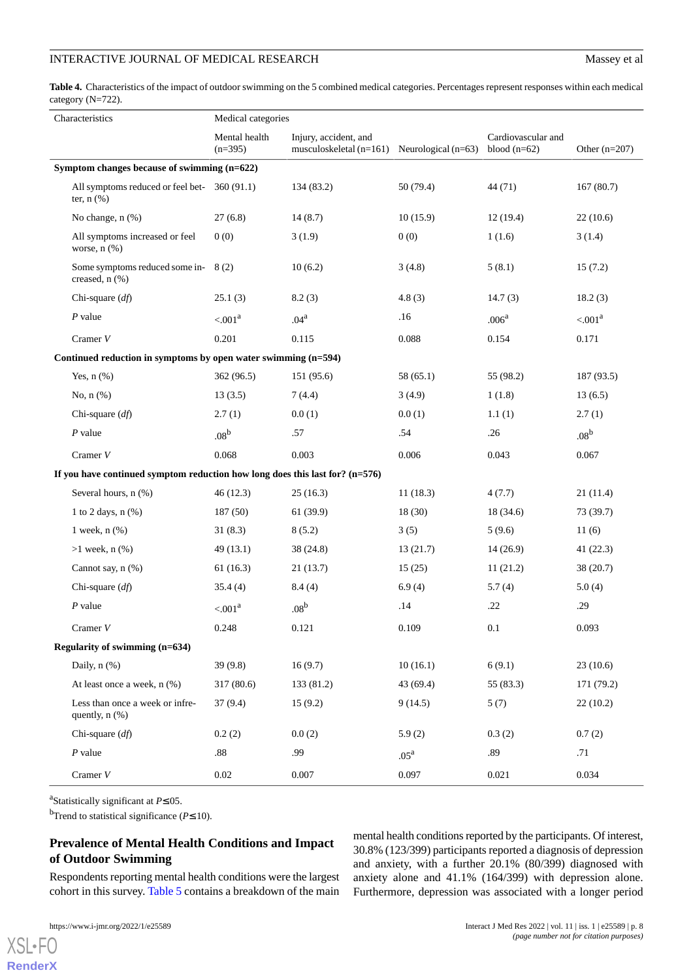#### INTERACTIVE JOURNAL OF MEDICAL RESEARCH Massey et al.

<span id="page-7-0"></span>**Table 4.** Characteristics of the impact of outdoor swimming on the 5 combined medical categories. Percentages represent responses within each medical category (N=722).

|                                                                                | Characteristics                                                | Medical categories         |                                                                              |                  |                                      |                     |
|--------------------------------------------------------------------------------|----------------------------------------------------------------|----------------------------|------------------------------------------------------------------------------|------------------|--------------------------------------|---------------------|
|                                                                                |                                                                | Mental health<br>$(n=395)$ | Injury, accident, and<br>musculoskeletal ( $n=161$ ) Neurological ( $n=63$ ) |                  | Cardiovascular and<br>blood $(n=62)$ | Other $(n=207)$     |
|                                                                                | Symptom changes because of swimming (n=622)                    |                            |                                                                              |                  |                                      |                     |
|                                                                                | All symptoms reduced or feel bet-<br>ter, $n$ $(\%)$           | 360(91.1)                  | 134 (83.2)                                                                   | 50 (79.4)        | 44(71)                               | 167(80.7)           |
|                                                                                | No change, n (%)                                               | 27(6.8)                    | 14(8.7)                                                                      | 10(15.9)         | 12(19.4)                             | 22(10.6)            |
|                                                                                | All symptoms increased or feel<br>worse, $n$ $(\%)$            | 0(0)                       | 3(1.9)                                                                       | 0(0)             | 1(1.6)                               | 3(1.4)              |
|                                                                                | Some symptoms reduced some in-<br>creased, $n$ $(\%)$          | 8(2)                       | 10(6.2)                                                                      | 3(4.8)           | 5(8.1)                               | 15(7.2)             |
|                                                                                | Chi-square $(df)$                                              | 25.1(3)                    | 8.2(3)                                                                       | 4.8(3)           | 14.7(3)                              | 18.2(3)             |
|                                                                                | $P$ value                                                      | $< 0.001^a$                | .04 <sup>a</sup>                                                             | .16              | .006 <sup>a</sup>                    | < .001 <sup>a</sup> |
|                                                                                | Cramer $V$                                                     | 0.201                      | 0.115                                                                        | 0.088            | 0.154                                | 0.171               |
|                                                                                | Continued reduction in symptoms by open water swimming (n=594) |                            |                                                                              |                  |                                      |                     |
|                                                                                | Yes, $n$ $(\%)$                                                | 362 (96.5)                 | 151 (95.6)                                                                   | 58 (65.1)        | 55 (98.2)                            | 187 (93.5)          |
|                                                                                | No, $n$ $(\%)$                                                 | 13(3.5)                    | 7(4.4)                                                                       | 3(4.9)           | 1(1.8)                               | 13(6.5)             |
|                                                                                | Chi-square $(df)$                                              | 2.7(1)                     | 0.0(1)                                                                       | 0.0(1)           | 1.1(1)                               | 2.7(1)              |
|                                                                                | $P$ value                                                      | .08 <sup>b</sup>           | .57                                                                          | .54              | .26                                  | .08 <sup>b</sup>    |
|                                                                                | Cramer $V$                                                     | 0.068                      | 0.003                                                                        | 0.006            | 0.043                                | 0.067               |
| If you have continued symptom reduction how long does this last for? $(n=576)$ |                                                                |                            |                                                                              |                  |                                      |                     |
|                                                                                | Several hours, n (%)                                           | 46(12.3)                   | 25(16.3)                                                                     | 11(18.3)         | 4(7.7)                               | 21(11.4)            |
|                                                                                | 1 to 2 days, $n$ $%$                                           | 187(50)                    | 61 (39.9)                                                                    | 18 (30)          | 18 (34.6)                            | 73 (39.7)           |
|                                                                                | 1 week, $n$ $(\%)$                                             | 31(8.3)                    | 8(5.2)                                                                       | 3(5)             | 5(9.6)                               | 11(6)               |
|                                                                                | $>1$ week, n $(\% )$                                           | 49(13.1)                   | 38 (24.8)                                                                    | 13(21.7)         | 14(26.9)                             | 41(22.3)            |
|                                                                                | Cannot say, n (%)                                              | 61(16.3)                   | 21(13.7)                                                                     | 15(25)           | 11(21.2)                             | 38(20.7)            |
|                                                                                | Chi-square $(df)$                                              | 35.4(4)                    | 8.4(4)                                                                       | 6.9(4)           | 5.7(4)                               | 5.0(4)              |
|                                                                                | $P$ value                                                      | $< 0.001^a$                | .08 <sup>b</sup>                                                             | .14              | .22                                  | .29                 |
|                                                                                | Cramer $V$                                                     | 0.248                      | 0.121                                                                        | 0.109            | 0.1                                  | 0.093               |
| Regularity of swimming (n=634)                                                 |                                                                |                            |                                                                              |                  |                                      |                     |
|                                                                                | Daily, $n$ $(\%)$                                              | 39(9.8)                    | 16(9.7)                                                                      | 10(16.1)         | 6(9.1)                               | 23(10.6)            |
|                                                                                | At least once a week, n (%)                                    | 317(80.6)                  | 133 (81.2)                                                                   | 43 (69.4)        | 55 (83.3)                            | 171(79.2)           |
|                                                                                | Less than once a week or infre-<br>quently, $n$ $(\%)$         | 37(9.4)                    | 15(9.2)                                                                      | 9(14.5)          | 5(7)                                 | 22(10.2)            |
|                                                                                | Chi-square $(df)$                                              | 0.2(2)                     | 0.0(2)                                                                       | 5.9(2)           | 0.3(2)                               | 0.7(2)              |
|                                                                                | $P$ value                                                      | .88                        | .99                                                                          | .05 <sup>a</sup> | .89                                  | .71                 |
|                                                                                | Cramer $V$                                                     | 0.02                       | 0.007                                                                        | 0.097            | 0.021                                | 0.034               |

a Statistically significant at *P*≤.05.

<sup>b</sup>Trend to statistical significance (*P*≤.10).

### **Prevalence of Mental Health Conditions and Impact of Outdoor Swimming**

Respondents reporting mental health conditions were the largest cohort in this survey. [Table 5](#page-9-0) contains a breakdown of the main

mental health conditions reported by the participants. Of interest, 30.8% (123/399) participants reported a diagnosis of depression and anxiety, with a further 20.1% (80/399) diagnosed with anxiety alone and 41.1% (164/399) with depression alone. Furthermore, depression was associated with a longer period

```
XSL•FO
RenderX
```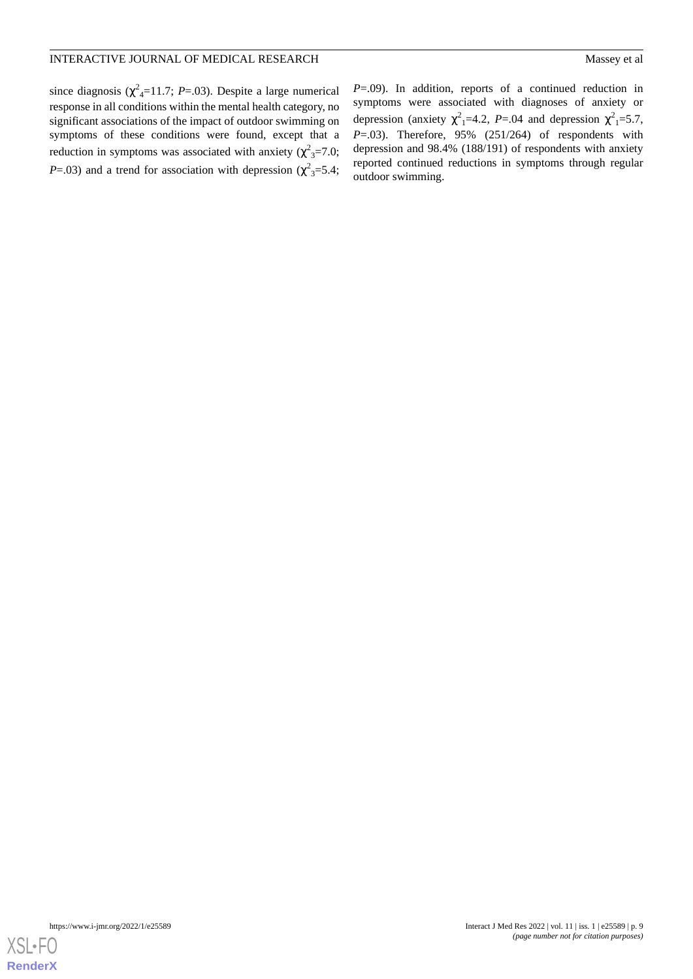since diagnosis ( $\chi^2$ <sub>4</sub>=11.7; *P*=.03). Despite a large numerical response in all conditions within the mental health category, no significant associations of the impact of outdoor swimming on symptoms of these conditions were found, except that a reduction in symptoms was associated with anxiety ( $\chi^2$ <sub>3</sub>=7.0; *P*=.03) and a trend for association with depression ( $\chi^2$ <sub>3</sub>=5.4;

*P*=.09). In addition, reports of a continued reduction in symptoms were associated with diagnoses of anxiety or depression (anxiety  $\chi^2$ <sub>1</sub>=4.2, *P*=.04 and depression  $\chi^2$ <sub>1</sub>=5.7, *P*=.03). Therefore, 95% (251/264) of respondents with depression and 98.4% (188/191) of respondents with anxiety reported continued reductions in symptoms through regular outdoor swimming.

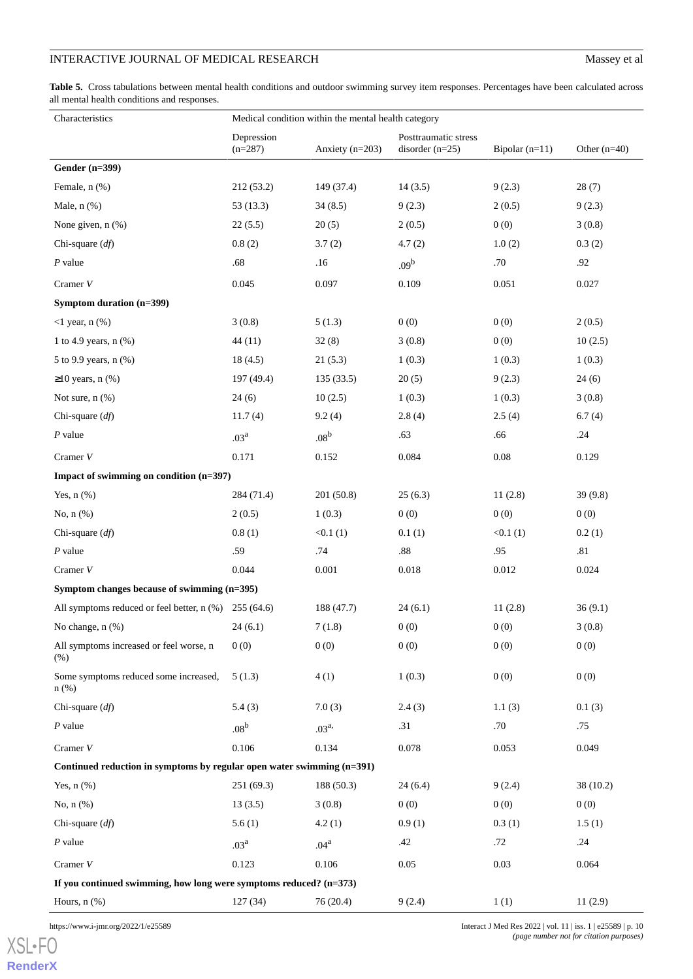### INTERACTIVE JOURNAL OF MEDICAL RESEARCH Massey et al

<span id="page-9-0"></span>**Table 5.** Cross tabulations between mental health conditions and outdoor swimming survey item responses. Percentages have been calculated across all mental health conditions and responses.

| Characteristics                                                          | Medical condition within the mental health category |                   |                                           |                  |                |  |
|--------------------------------------------------------------------------|-----------------------------------------------------|-------------------|-------------------------------------------|------------------|----------------|--|
|                                                                          | Depression<br>$(n=287)$                             | Anxiety $(n=203)$ | Posttraumatic stress<br>disorder $(n=25)$ | Bipolar $(n=11)$ | Other $(n=40)$ |  |
| <b>Gender (n=399)</b>                                                    |                                                     |                   |                                           |                  |                |  |
| Female, n (%)                                                            | 212 (53.2)                                          | 149 (37.4)        | 14(3.5)                                   | 9(2.3)           | 28(7)          |  |
| Male, n (%)                                                              | 53(13.3)                                            | 34(8.5)           | 9(2.3)                                    | 2(0.5)           | 9(2.3)         |  |
| None given, n (%)                                                        | 22(5.5)                                             | 20(5)             | 2(0.5)                                    | 0(0)             | 3(0.8)         |  |
| Chi-square $(df)$                                                        | 0.8(2)                                              | 3.7(2)            | 4.7(2)                                    | 1.0(2)           | 0.3(2)         |  |
| $P$ value                                                                | .68                                                 | .16               | .09 <sup>b</sup>                          | .70              | .92            |  |
| Cramer $V$                                                               | 0.045                                               | 0.097             | 0.109                                     | 0.051            | 0.027          |  |
| Symptom duration (n=399)                                                 |                                                     |                   |                                           |                  |                |  |
| $<$ 1 year, n $(\%)$                                                     | 3(0.8)                                              | 5(1.3)            | 0(0)                                      | 0(0)             | 2(0.5)         |  |
| 1 to 4.9 years, $n$ (%)                                                  | 44(11)                                              | 32(8)             | 3(0.8)                                    | 0(0)             | 10(2.5)        |  |
| 5 to 9.9 years, n (%)                                                    | 18(4.5)                                             | 21(5.3)           | 1(0.3)                                    | 1(0.3)           | 1(0.3)         |  |
| $\geq$ 10 years, n (%)                                                   | 197(49.4)                                           | 135(33.5)         | 20(5)                                     | 9(2.3)           | 24(6)          |  |
| Not sure, $n$ $%$ )                                                      | 24(6)                                               | 10(2.5)           | 1(0.3)                                    | 1(0.3)           | 3(0.8)         |  |
| Chi-square $(df)$                                                        | 11.7(4)                                             | 9.2(4)            | 2.8(4)                                    | 2.5(4)           | 6.7(4)         |  |
| $P$ value                                                                | .03 <sup>a</sup>                                    | .08 <sup>b</sup>  | .63                                       | .66              | .24            |  |
| Cramer $V$                                                               | 0.171                                               | 0.152             | 0.084                                     | 0.08             | 0.129          |  |
| Impact of swimming on condition (n=397)                                  |                                                     |                   |                                           |                  |                |  |
| Yes, $n$ $(\%)$                                                          | 284 (71.4)                                          | 201 (50.8)        | 25(6.3)                                   | 11(2.8)          | 39(9.8)        |  |
| No, $n$ $(\%)$                                                           | 2(0.5)                                              | 1(0.3)            | 0(0)                                      | 0(0)             | 0(0)           |  |
| Chi-square $(df)$                                                        | 0.8(1)                                              | <0.1(1)           | 0.1(1)                                    | <0.1(1)          | 0.2(1)         |  |
| $P$ value                                                                | .59                                                 | .74               | $.88\,$                                   | .95              | .81            |  |
| Cramer $V$                                                               | 0.044                                               | 0.001             | 0.018                                     | 0.012            | 0.024          |  |
| Symptom changes because of swimming (n=395)                              |                                                     |                   |                                           |                  |                |  |
| All symptoms reduced or feel better, n (%) 255 (64.6)                    |                                                     | 188 (47.7)        | 24(6.1)                                   | 11(2.8)          | 36(9.1)        |  |
| No change, $n$ $(\%)$                                                    | 24(6.1)                                             | 7(1.8)            | 0(0)                                      | 0(0)             | 3(0.8)         |  |
| All symptoms increased or feel worse, n<br>(% )                          | 0(0)                                                | 0(0)              | 0(0)                                      | 0(0)             | 0(0)           |  |
| Some symptoms reduced some increased,<br>$n$ (%)                         | 5(1.3)                                              | 4(1)              | 1(0.3)                                    | 0(0)             | 0(0)           |  |
| Chi-square $(df)$                                                        | 5.4(3)                                              | 7.0(3)            | 2.4(3)                                    | 1.1(3)           | 0.1(3)         |  |
| $P$ value                                                                | .08 <sup>b</sup>                                    | $.03^{a}$         | .31                                       | .70              | .75            |  |
| Cramer V                                                                 | 0.106                                               | 0.134             | 0.078                                     | 0.053            | 0.049          |  |
| Continued reduction in symptoms by regular open water swimming $(n=391)$ |                                                     |                   |                                           |                  |                |  |
| Yes, $n$ $(\%)$                                                          | 251 (69.3)                                          | 188(50.3)         | 24(6.4)                                   | 9(2.4)           | 38(10.2)       |  |
| No, n (%)                                                                | 13(3.5)                                             | 3(0.8)            | 0(0)                                      | 0(0)             | 0(0)           |  |
| Chi-square $(df)$                                                        | 5.6(1)                                              | 4.2(1)            | 0.9(1)                                    | 0.3(1)           | 1.5(1)         |  |
| $P$ value                                                                | .03 <sup>a</sup>                                    | .04 <sup>a</sup>  | .42                                       | .72              | .24            |  |
| Cramer $V$                                                               | 0.123                                               | 0.106             | 0.05                                      | 0.03             | 0.064          |  |
| If you continued swimming, how long were symptoms reduced? $(n=373)$     |                                                     |                   |                                           |                  |                |  |
| Hours, $n$ $%$                                                           | 127 (34)                                            | 76 (20.4)         | 9(2.4)                                    | 1(1)             | 11(2.9)        |  |

[XSL](http://www.w3.org/Style/XSL)•FO **[RenderX](http://www.renderx.com/)**

https://www.i-jmr.org/2022/1/e25589 Interact J Med Res 2022 | vol. 11 | iss. 1 | e25589 | p. 10 *(page number not for citation purposes)*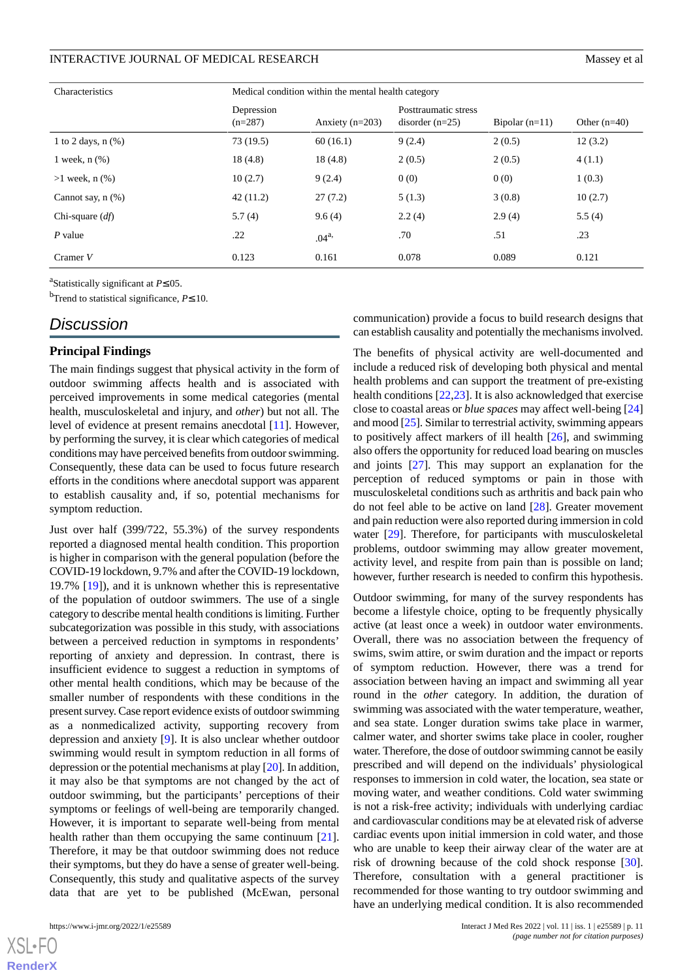| Characteristics         | Medical condition within the mental health category |                   |                                           |                  |                  |
|-------------------------|-----------------------------------------------------|-------------------|-------------------------------------------|------------------|------------------|
|                         | Depression<br>$(n=287)$                             | Anxiety $(n=203)$ | Posttraumatic stress<br>disorder $(n=25)$ | Bipolar $(n=11)$ | Other $(n=40)$   |
| 1 to 2 days, $n$ $(\%)$ | 73 (19.5)                                           | 60(16.1)          | 9(2.4)                                    | 2(0.5)           | 12(3.2)          |
| 1 week, $n$ $(\%)$      | 18(4.8)                                             | 18(4.8)           | 2(0.5)                                    | 2(0.5)           | 4(1.1)           |
| $>1$ week, n $(\% )$    | 10(2.7)                                             | 9(2.4)            | 0(0)                                      | 0(0)             | 1(0.3)           |
| Cannot say, $n$ $(\%)$  | 42(11.2)                                            | 27(7.2)           | 5(1.3)                                    | 3(0.8)           | 10(2.7)          |
| Chi-square $(df)$       | 5.7(4)                                              | 9.6(4)            | 2.2(4)                                    | 2.9(4)           | 5.5(4)           |
| $P$ value               | .22                                                 | $.04^{a}$         | .70                                       | .51              | $.23\phantom{0}$ |
| Cramer $V$              | 0.123                                               | 0.161             | 0.078                                     | 0.089            | 0.121            |

a Statistically significant at *P*≤.05.

<sup>b</sup>Trend to statistical significance, *P*≤.10.

### *Discussion*

#### **Principal Findings**

The main findings suggest that physical activity in the form of outdoor swimming affects health and is associated with perceived improvements in some medical categories (mental health, musculoskeletal and injury, and *other*) but not all. The level of evidence at present remains anecdotal [[11\]](#page-12-10). However, by performing the survey, it is clear which categories of medical conditions may have perceived benefits from outdoor swimming. Consequently, these data can be used to focus future research efforts in the conditions where anecdotal support was apparent to establish causality and, if so, potential mechanisms for symptom reduction.

Just over half (399/722, 55.3%) of the survey respondents reported a diagnosed mental health condition. This proportion is higher in comparison with the general population (before the COVID-19 lockdown, 9.7% and after the COVID-19 lockdown, 19.7% [[19\]](#page-13-4)), and it is unknown whether this is representative of the population of outdoor swimmers. The use of a single category to describe mental health conditions is limiting. Further subcategorization was possible in this study, with associations between a perceived reduction in symptoms in respondents' reporting of anxiety and depression. In contrast, there is insufficient evidence to suggest a reduction in symptoms of other mental health conditions, which may be because of the smaller number of respondents with these conditions in the present survey. Case report evidence exists of outdoor swimming as a nonmedicalized activity, supporting recovery from depression and anxiety [\[9](#page-12-8)]. It is also unclear whether outdoor swimming would result in symptom reduction in all forms of depression or the potential mechanisms at play [\[20](#page-13-5)]. In addition, it may also be that symptoms are not changed by the act of outdoor swimming, but the participants' perceptions of their symptoms or feelings of well-being are temporarily changed. However, it is important to separate well-being from mental health rather than them occupying the same continuum [[21\]](#page-13-6). Therefore, it may be that outdoor swimming does not reduce their symptoms, but they do have a sense of greater well-being. Consequently, this study and qualitative aspects of the survey data that are yet to be published (McEwan, personal

 $XSI - F($ **[RenderX](http://www.renderx.com/)** communication) provide a focus to build research designs that can establish causality and potentially the mechanisms involved.

The benefits of physical activity are well-documented and include a reduced risk of developing both physical and mental health problems and can support the treatment of pre-existing health conditions [[22,](#page-13-7)[23\]](#page-13-8). It is also acknowledged that exercise close to coastal areas or *blue spaces* may affect well-being [\[24](#page-13-9)] and mood [[25\]](#page-13-10). Similar to terrestrial activity, swimming appears to positively affect markers of ill health [\[26](#page-13-11)], and swimming also offers the opportunity for reduced load bearing on muscles and joints [\[27](#page-13-12)]. This may support an explanation for the perception of reduced symptoms or pain in those with musculoskeletal conditions such as arthritis and back pain who do not feel able to be active on land [\[28](#page-13-13)]. Greater movement and pain reduction were also reported during immersion in cold water [\[29](#page-13-14)]. Therefore, for participants with musculoskeletal problems, outdoor swimming may allow greater movement, activity level, and respite from pain than is possible on land; however, further research is needed to confirm this hypothesis.

Outdoor swimming, for many of the survey respondents has become a lifestyle choice, opting to be frequently physically active (at least once a week) in outdoor water environments. Overall, there was no association between the frequency of swims, swim attire, or swim duration and the impact or reports of symptom reduction. However, there was a trend for association between having an impact and swimming all year round in the *other* category. In addition, the duration of swimming was associated with the water temperature, weather, and sea state. Longer duration swims take place in warmer, calmer water, and shorter swims take place in cooler, rougher water. Therefore, the dose of outdoor swimming cannot be easily prescribed and will depend on the individuals' physiological responses to immersion in cold water, the location, sea state or moving water, and weather conditions. Cold water swimming is not a risk-free activity; individuals with underlying cardiac and cardiovascular conditions may be at elevated risk of adverse cardiac events upon initial immersion in cold water, and those who are unable to keep their airway clear of the water are at risk of drowning because of the cold shock response [[30\]](#page-13-15). Therefore, consultation with a general practitioner is recommended for those wanting to try outdoor swimming and have an underlying medical condition. It is also recommended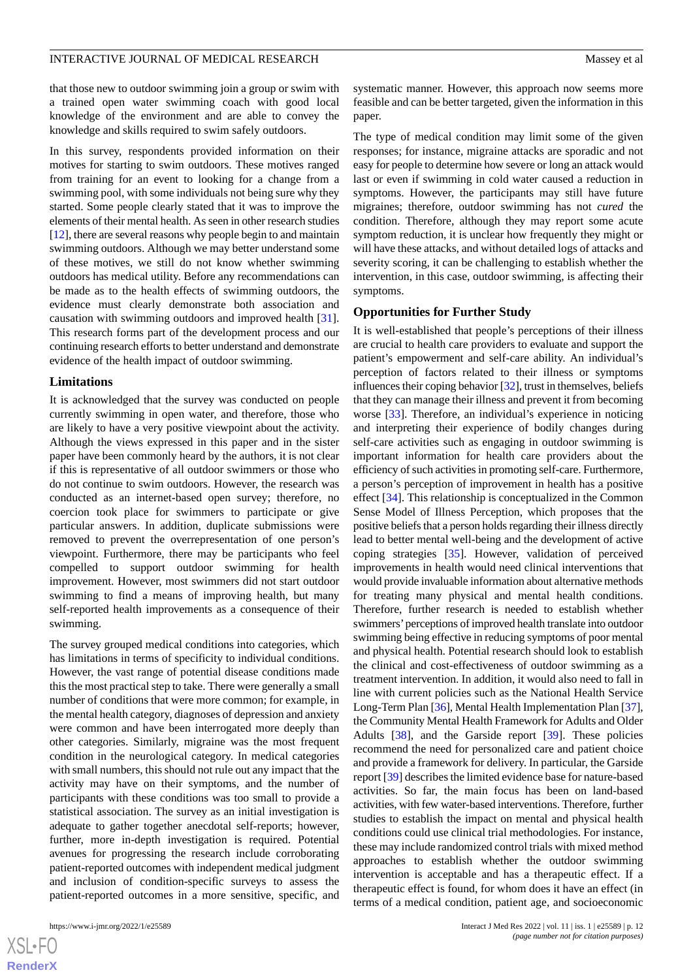that those new to outdoor swimming join a group or swim with a trained open water swimming coach with good local knowledge of the environment and are able to convey the knowledge and skills required to swim safely outdoors.

In this survey, respondents provided information on their motives for starting to swim outdoors. These motives ranged from training for an event to looking for a change from a swimming pool, with some individuals not being sure why they started. Some people clearly stated that it was to improve the elements of their mental health. As seen in other research studies [[12\]](#page-12-11), there are several reasons why people begin to and maintain swimming outdoors. Although we may better understand some of these motives, we still do not know whether swimming outdoors has medical utility. Before any recommendations can be made as to the health effects of swimming outdoors, the evidence must clearly demonstrate both association and causation with swimming outdoors and improved health [[31\]](#page-13-16). This research forms part of the development process and our continuing research efforts to better understand and demonstrate evidence of the health impact of outdoor swimming.

#### **Limitations**

It is acknowledged that the survey was conducted on people currently swimming in open water, and therefore, those who are likely to have a very positive viewpoint about the activity. Although the views expressed in this paper and in the sister paper have been commonly heard by the authors, it is not clear if this is representative of all outdoor swimmers or those who do not continue to swim outdoors. However, the research was conducted as an internet-based open survey; therefore, no coercion took place for swimmers to participate or give particular answers. In addition, duplicate submissions were removed to prevent the overrepresentation of one person's viewpoint. Furthermore, there may be participants who feel compelled to support outdoor swimming for health improvement. However, most swimmers did not start outdoor swimming to find a means of improving health, but many self-reported health improvements as a consequence of their swimming.

The survey grouped medical conditions into categories, which has limitations in terms of specificity to individual conditions. However, the vast range of potential disease conditions made this the most practical step to take. There were generally a small number of conditions that were more common; for example, in the mental health category, diagnoses of depression and anxiety were common and have been interrogated more deeply than other categories. Similarly, migraine was the most frequent condition in the neurological category. In medical categories with small numbers, this should not rule out any impact that the activity may have on their symptoms, and the number of participants with these conditions was too small to provide a statistical association. The survey as an initial investigation is adequate to gather together anecdotal self-reports; however, further, more in-depth investigation is required. Potential avenues for progressing the research include corroborating patient-reported outcomes with independent medical judgment and inclusion of condition-specific surveys to assess the patient-reported outcomes in a more sensitive, specific, and

systematic manner. However, this approach now seems more feasible and can be better targeted, given the information in this paper.

The type of medical condition may limit some of the given responses; for instance, migraine attacks are sporadic and not easy for people to determine how severe or long an attack would last or even if swimming in cold water caused a reduction in symptoms. However, the participants may still have future migraines; therefore, outdoor swimming has not *cured* the condition. Therefore, although they may report some acute symptom reduction, it is unclear how frequently they might or will have these attacks, and without detailed logs of attacks and severity scoring, it can be challenging to establish whether the intervention, in this case, outdoor swimming, is affecting their symptoms.

#### **Opportunities for Further Study**

It is well-established that people's perceptions of their illness are crucial to health care providers to evaluate and support the patient's empowerment and self-care ability. An individual's perception of factors related to their illness or symptoms influences their coping behavior [\[32\]](#page-13-17), trust in themselves, beliefs that they can manage their illness and prevent it from becoming worse [\[33](#page-13-18)]. Therefore, an individual's experience in noticing and interpreting their experience of bodily changes during self-care activities such as engaging in outdoor swimming is important information for health care providers about the efficiency of such activities in promoting self-care. Furthermore, a person's perception of improvement in health has a positive effect [[34\]](#page-13-19). This relationship is conceptualized in the Common Sense Model of Illness Perception, which proposes that the positive beliefs that a person holds regarding their illness directly lead to better mental well-being and the development of active coping strategies [\[35](#page-13-20)]. However, validation of perceived improvements in health would need clinical interventions that would provide invaluable information about alternative methods for treating many physical and mental health conditions. Therefore, further research is needed to establish whether swimmers'perceptions of improved health translate into outdoor swimming being effective in reducing symptoms of poor mental and physical health. Potential research should look to establish the clinical and cost-effectiveness of outdoor swimming as a treatment intervention. In addition, it would also need to fall in line with current policies such as the National Health Service Long-Term Plan [[36](#page-13-21)], Mental Health Implementation Plan [\[37](#page-13-22)], the Community Mental Health Framework for Adults and Older Adults [[38\]](#page-13-23), and the Garside report [\[39](#page-13-24)]. These policies recommend the need for personalized care and patient choice and provide a framework for delivery. In particular, the Garside report [[39\]](#page-13-24) describes the limited evidence base for nature-based activities. So far, the main focus has been on land-based activities, with few water-based interventions. Therefore, further studies to establish the impact on mental and physical health conditions could use clinical trial methodologies. For instance, these may include randomized control trials with mixed method approaches to establish whether the outdoor swimming intervention is acceptable and has a therapeutic effect. If a therapeutic effect is found, for whom does it have an effect (in terms of a medical condition, patient age, and socioeconomic

 $XS$ -FO **[RenderX](http://www.renderx.com/)**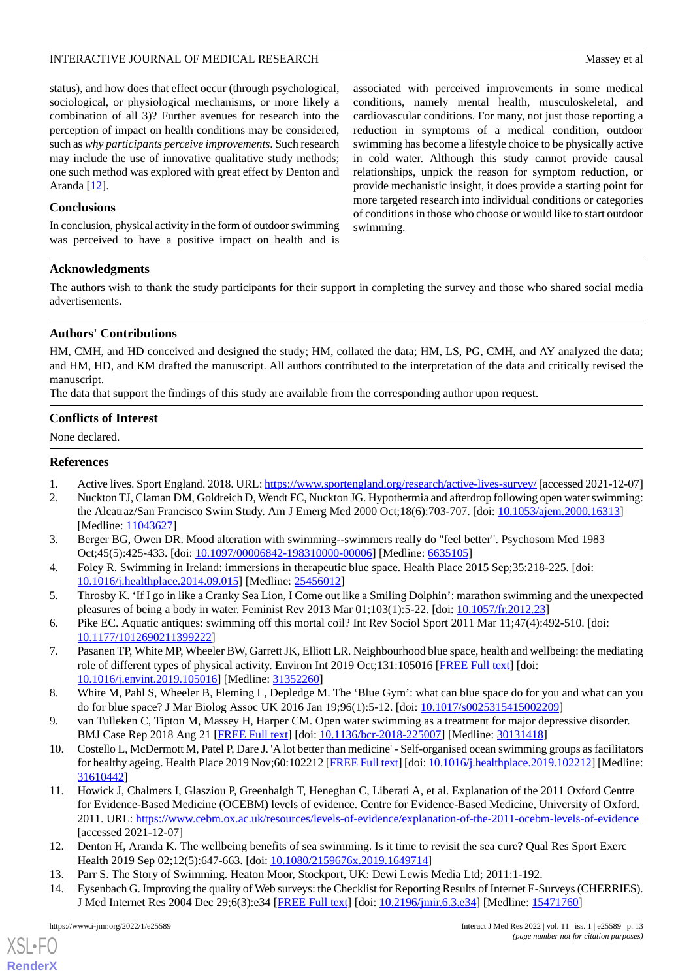status), and how does that effect occur (through psychological, sociological, or physiological mechanisms, or more likely a combination of all 3)? Further avenues for research into the perception of impact on health conditions may be considered, such as *why participants perceive improvements*. Such research may include the use of innovative qualitative study methods; one such method was explored with great effect by Denton and Aranda [[12\]](#page-12-11).

### **Conclusions**

In conclusion, physical activity in the form of outdoor swimming was perceived to have a positive impact on health and is

associated with perceived improvements in some medical conditions, namely mental health, musculoskeletal, and cardiovascular conditions. For many, not just those reporting a reduction in symptoms of a medical condition, outdoor swimming has become a lifestyle choice to be physically active in cold water. Although this study cannot provide causal relationships, unpick the reason for symptom reduction, or provide mechanistic insight, it does provide a starting point for more targeted research into individual conditions or categories of conditions in those who choose or would like to start outdoor swimming.

#### **Acknowledgments**

The authors wish to thank the study participants for their support in completing the survey and those who shared social media advertisements.

#### **Authors' Contributions**

HM, CMH, and HD conceived and designed the study; HM, collated the data; HM, LS, PG, CMH, and AY analyzed the data; and HM, HD, and KM drafted the manuscript. All authors contributed to the interpretation of the data and critically revised the manuscript.

The data that support the findings of this study are available from the corresponding author upon request.

#### **Conflicts of Interest**

<span id="page-12-1"></span><span id="page-12-0"></span>None declared.

#### **References**

- <span id="page-12-2"></span>1. Active lives. Sport England. 2018. URL:<https://www.sportengland.org/research/active-lives-survey/> [accessed 2021-12-07]
- <span id="page-12-3"></span>2. Nuckton TJ, Claman DM, Goldreich D, Wendt FC, Nuckton JG. Hypothermia and afterdrop following open water swimming: the Alcatraz/San Francisco Swim Study. Am J Emerg Med 2000 Oct;18(6):703-707. [doi: [10.1053/ajem.2000.16313\]](http://dx.doi.org/10.1053/ajem.2000.16313) [Medline: [11043627](http://www.ncbi.nlm.nih.gov/entrez/query.fcgi?cmd=Retrieve&db=PubMed&list_uids=11043627&dopt=Abstract)]
- <span id="page-12-4"></span>3. Berger BG, Owen DR. Mood alteration with swimming--swimmers really do "feel better". Psychosom Med 1983 Oct;45(5):425-433. [doi: [10.1097/00006842-198310000-00006\]](http://dx.doi.org/10.1097/00006842-198310000-00006) [Medline: [6635105\]](http://www.ncbi.nlm.nih.gov/entrez/query.fcgi?cmd=Retrieve&db=PubMed&list_uids=6635105&dopt=Abstract)
- <span id="page-12-5"></span>4. Foley R. Swimming in Ireland: immersions in therapeutic blue space. Health Place 2015 Sep;35:218-225. [doi: [10.1016/j.healthplace.2014.09.015](http://dx.doi.org/10.1016/j.healthplace.2014.09.015)] [Medline: [25456012\]](http://www.ncbi.nlm.nih.gov/entrez/query.fcgi?cmd=Retrieve&db=PubMed&list_uids=25456012&dopt=Abstract)
- <span id="page-12-6"></span>5. Throsby K. 'If I go in like a Cranky Sea Lion, I Come out like a Smiling Dolphin': marathon swimming and the unexpected pleasures of being a body in water. Feminist Rev 2013 Mar 01;103(1):5-22. [doi: [10.1057/fr.2012.23\]](http://dx.doi.org/10.1057/fr.2012.23)
- <span id="page-12-7"></span>6. Pike EC. Aquatic antiques: swimming off this mortal coil? Int Rev Sociol Sport 2011 Mar 11;47(4):492-510. [doi: [10.1177/1012690211399222\]](http://dx.doi.org/10.1177/1012690211399222)
- <span id="page-12-8"></span>7. Pasanen TP, White MP, Wheeler BW, Garrett JK, Elliott LR. Neighbourhood blue space, health and wellbeing: the mediating role of different types of physical activity. Environ Int 2019 Oct;131:105016 [[FREE Full text](https://linkinghub.elsevier.com/retrieve/pii/S0160-4120(19)31230-9)] [doi: [10.1016/j.envint.2019.105016\]](http://dx.doi.org/10.1016/j.envint.2019.105016) [Medline: [31352260](http://www.ncbi.nlm.nih.gov/entrez/query.fcgi?cmd=Retrieve&db=PubMed&list_uids=31352260&dopt=Abstract)]
- <span id="page-12-9"></span>8. White M, Pahl S, Wheeler B, Fleming L, Depledge M. The 'Blue Gym': what can blue space do for you and what can you do for blue space? J Mar Biolog Assoc UK 2016 Jan 19;96(1):5-12. [doi: [10.1017/s0025315415002209\]](http://dx.doi.org/10.1017/s0025315415002209)
- <span id="page-12-10"></span>9. van Tulleken C, Tipton M, Massey H, Harper CM. Open water swimming as a treatment for major depressive disorder. BMJ Case Rep 2018 Aug 21 [\[FREE Full text\]](http://europepmc.org/abstract/MED/30131418) [doi: [10.1136/bcr-2018-225007](http://dx.doi.org/10.1136/bcr-2018-225007)] [Medline: [30131418\]](http://www.ncbi.nlm.nih.gov/entrez/query.fcgi?cmd=Retrieve&db=PubMed&list_uids=30131418&dopt=Abstract)
- <span id="page-12-11"></span>10. Costello L, McDermott M, Patel P, Dare J. 'A lot better than medicine' - Self-organised ocean swimming groups as facilitators for healthy ageing. Health Place 2019 Nov;60:102212 [\[FREE Full text](https://linkinghub.elsevier.com/retrieve/pii/S1353-8292(18)31163-8)] [doi: [10.1016/j.healthplace.2019.102212](http://dx.doi.org/10.1016/j.healthplace.2019.102212)] [Medline: [31610442](http://www.ncbi.nlm.nih.gov/entrez/query.fcgi?cmd=Retrieve&db=PubMed&list_uids=31610442&dopt=Abstract)]
- <span id="page-12-13"></span><span id="page-12-12"></span>11. Howick J, Chalmers I, Glasziou P, Greenhalgh T, Heneghan C, Liberati A, et al. Explanation of the 2011 Oxford Centre for Evidence-Based Medicine (OCEBM) levels of evidence. Centre for Evidence-Based Medicine, University of Oxford. 2011. URL: <https://www.cebm.ox.ac.uk/resources/levels-of-evidence/explanation-of-the-2011-ocebm-levels-of-evidence> [accessed 2021-12-07]
- 12. Denton H, Aranda K. The wellbeing benefits of sea swimming. Is it time to revisit the sea cure? Qual Res Sport Exerc Health 2019 Sep 02;12(5):647-663. [doi: [10.1080/2159676x.2019.1649714\]](http://dx.doi.org/10.1080/2159676x.2019.1649714)
- 13. Parr S. The Story of Swimming. Heaton Moor, Stockport, UK: Dewi Lewis Media Ltd; 2011:1-192.
- 14. Eysenbach G. Improving the quality of Web surveys: the Checklist for Reporting Results of Internet E-Surveys (CHERRIES). J Med Internet Res 2004 Dec 29;6(3):e34 [\[FREE Full text\]](http://www.jmir.org/2004/3/e34/) [doi: [10.2196/jmir.6.3.e34](http://dx.doi.org/10.2196/jmir.6.3.e34)] [Medline: [15471760](http://www.ncbi.nlm.nih.gov/entrez/query.fcgi?cmd=Retrieve&db=PubMed&list_uids=15471760&dopt=Abstract)]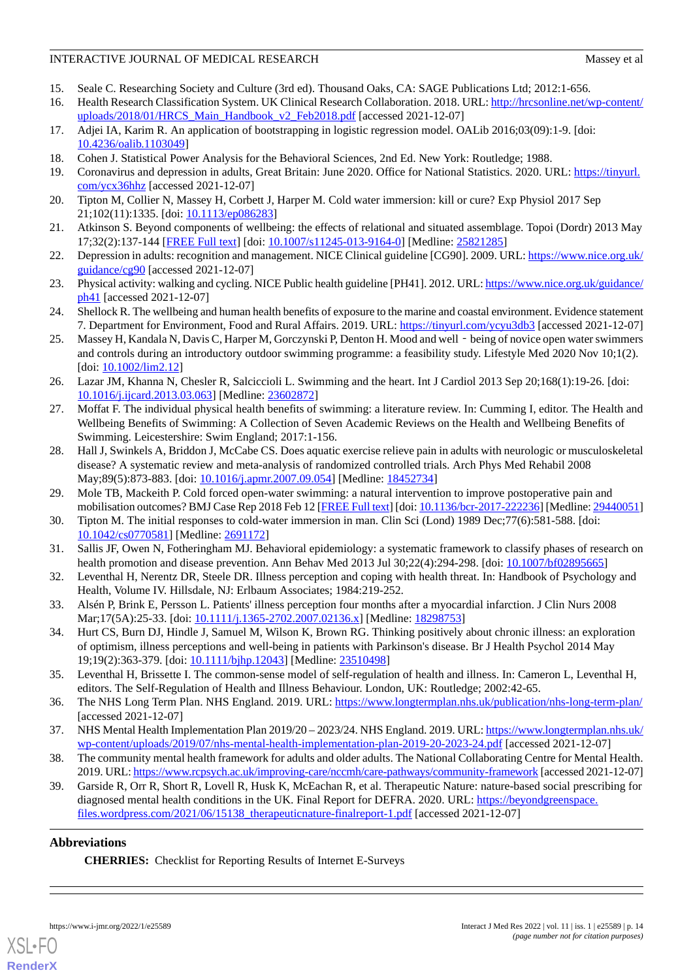- <span id="page-13-1"></span><span id="page-13-0"></span>15. Seale C. Researching Society and Culture (3rd ed). Thousand Oaks, CA: SAGE Publications Ltd; 2012:1-656.
- 16. Health Research Classification System. UK Clinical Research Collaboration. 2018. URL: [http://hrcsonline.net/wp-content/](http://hrcsonline.net/wp-content/uploads/2018/01/HRCS_Main_Handbook_v2_Feb2018.pdf) [uploads/2018/01/HRCS\\_Main\\_Handbook\\_v2\\_Feb2018.pdf](http://hrcsonline.net/wp-content/uploads/2018/01/HRCS_Main_Handbook_v2_Feb2018.pdf) [accessed 2021-12-07]
- <span id="page-13-3"></span><span id="page-13-2"></span>17. Adjei IA, Karim R. An application of bootstrapping in logistic regression model. OALib 2016;03(09):1-9. [doi: [10.4236/oalib.1103049\]](http://dx.doi.org/10.4236/oalib.1103049)
- <span id="page-13-4"></span>18. Cohen J. Statistical Power Analysis for the Behavioral Sciences, 2nd Ed. New York: Routledge; 1988.
- <span id="page-13-5"></span>19. Coronavirus and depression in adults, Great Britain: June 2020. Office for National Statistics. 2020. URL: [https://tinyurl.](https://www.ons.gov.uk/peoplepopulationandcommunity/wellbeing/articles/coronavirusanddepressioninadultsgreatbritain/june2020#symptoms-of-depression-before-and-during-the-coronavirus-pandemic) [com/ycx36hhz](https://www.ons.gov.uk/peoplepopulationandcommunity/wellbeing/articles/coronavirusanddepressioninadultsgreatbritain/june2020#symptoms-of-depression-before-and-during-the-coronavirus-pandemic) [accessed 2021-12-07]
- <span id="page-13-6"></span>20. Tipton M, Collier N, Massey H, Corbett J, Harper M. Cold water immersion: kill or cure? Exp Physiol 2017 Sep 21;102(11):1335. [doi: [10.1113/ep086283\]](http://dx.doi.org/10.1113/ep086283)
- <span id="page-13-7"></span>21. Atkinson S. Beyond components of wellbeing: the effects of relational and situated assemblage. Topoi (Dordr) 2013 May 17;32(2):137-144 [[FREE Full text](http://europepmc.org/abstract/MED/25821285)] [doi: [10.1007/s11245-013-9164-0\]](http://dx.doi.org/10.1007/s11245-013-9164-0) [Medline: [25821285](http://www.ncbi.nlm.nih.gov/entrez/query.fcgi?cmd=Retrieve&db=PubMed&list_uids=25821285&dopt=Abstract)]
- <span id="page-13-8"></span>22. Depression in adults: recognition and management. NICE Clinical guideline [CG90]. 2009. URL: [https://www.nice.org.uk/](https://www.nice.org.uk/guidance/cg90) [guidance/cg90](https://www.nice.org.uk/guidance/cg90) [accessed 2021-12-07]
- <span id="page-13-9"></span>23. Physical activity: walking and cycling. NICE Public health guideline [PH41]. 2012. URL: [https://www.nice.org.uk/guidance/](https://www.nice.org.uk/guidance/ph41) [ph41](https://www.nice.org.uk/guidance/ph41) [accessed 2021-12-07]
- <span id="page-13-10"></span>24. Shellock R. The wellbeing and human health benefits of exposure to the marine and coastal environment. Evidence statement 7. Department for Environment, Food and Rural Affairs. 2019. URL: [https://tinyurl.com/ycyu3db3](http://randd.defra.gov.uk/Default.aspx?Menu=Menu&Module=More&Location=None&ProjectID=20097&FromSearch=Y&Publisher=1&SearchText=SD1712&SortString=ProjectCode&SortOrder=Asc&Paging=10) [accessed 2021-12-07]
- <span id="page-13-11"></span>25. Massey H, Kandala N, Davis C, Harper M, Gorczynski P, Denton H. Mood and well - being of novice open water swimmers and controls during an introductory outdoor swimming programme: a feasibility study. Lifestyle Med 2020 Nov 10;1(2). [doi: [10.1002/lim2.12](http://dx.doi.org/10.1002/lim2.12)]
- <span id="page-13-12"></span>26. Lazar JM, Khanna N, Chesler R, Salciccioli L. Swimming and the heart. Int J Cardiol 2013 Sep 20;168(1):19-26. [doi: [10.1016/j.ijcard.2013.03.063](http://dx.doi.org/10.1016/j.ijcard.2013.03.063)] [Medline: [23602872](http://www.ncbi.nlm.nih.gov/entrez/query.fcgi?cmd=Retrieve&db=PubMed&list_uids=23602872&dopt=Abstract)]
- <span id="page-13-13"></span>27. Moffat F. The individual physical health benefits of swimming: a literature review. In: Cumming I, editor. The Health and Wellbeing Benefits of Swimming: A Collection of Seven Academic Reviews on the Health and Wellbeing Benefits of Swimming. Leicestershire: Swim England; 2017:1-156.
- <span id="page-13-15"></span><span id="page-13-14"></span>28. Hall J, Swinkels A, Briddon J, McCabe CS. Does aquatic exercise relieve pain in adults with neurologic or musculoskeletal disease? A systematic review and meta-analysis of randomized controlled trials. Arch Phys Med Rehabil 2008 May;89(5):873-883. [doi: [10.1016/j.apmr.2007.09.054\]](http://dx.doi.org/10.1016/j.apmr.2007.09.054) [Medline: [18452734\]](http://www.ncbi.nlm.nih.gov/entrez/query.fcgi?cmd=Retrieve&db=PubMed&list_uids=18452734&dopt=Abstract)
- <span id="page-13-16"></span>29. Mole TB, Mackeith P. Cold forced open-water swimming: a natural intervention to improve postoperative pain and mobilisation outcomes? BMJ Case Rep 2018 Feb 12 [\[FREE Full text\]](http://europepmc.org/abstract/MED/29440051) [doi: [10.1136/bcr-2017-222236\]](http://dx.doi.org/10.1136/bcr-2017-222236) [Medline: [29440051\]](http://www.ncbi.nlm.nih.gov/entrez/query.fcgi?cmd=Retrieve&db=PubMed&list_uids=29440051&dopt=Abstract)
- <span id="page-13-17"></span>30. Tipton M. The initial responses to cold-water immersion in man. Clin Sci (Lond) 1989 Dec;77(6):581-588. [doi: [10.1042/cs0770581](http://dx.doi.org/10.1042/cs0770581)] [Medline: [2691172\]](http://www.ncbi.nlm.nih.gov/entrez/query.fcgi?cmd=Retrieve&db=PubMed&list_uids=2691172&dopt=Abstract)
- <span id="page-13-18"></span>31. Sallis JF, Owen N, Fotheringham MJ. Behavioral epidemiology: a systematic framework to classify phases of research on health promotion and disease prevention. Ann Behav Med 2013 Jul 30;22(4):294-298. [doi: [10.1007/bf02895665\]](http://dx.doi.org/10.1007/bf02895665)
- <span id="page-13-19"></span>32. Leventhal H, Nerentz DR, Steele DR. Illness perception and coping with health threat. In: Handbook of Psychology and Health, Volume IV. Hillsdale, NJ: Erlbaum Associates; 1984:219-252.
- <span id="page-13-20"></span>33. Alsén P, Brink E, Persson L. Patients' illness perception four months after a myocardial infarction. J Clin Nurs 2008 Mar;17(5A):25-33. [doi: [10.1111/j.1365-2702.2007.02136.x\]](http://dx.doi.org/10.1111/j.1365-2702.2007.02136.x) [Medline: [18298753](http://www.ncbi.nlm.nih.gov/entrez/query.fcgi?cmd=Retrieve&db=PubMed&list_uids=18298753&dopt=Abstract)]
- <span id="page-13-21"></span>34. Hurt CS, Burn DJ, Hindle J, Samuel M, Wilson K, Brown RG. Thinking positively about chronic illness: an exploration of optimism, illness perceptions and well-being in patients with Parkinson's disease. Br J Health Psychol 2014 May 19;19(2):363-379. [doi: [10.1111/bjhp.12043](http://dx.doi.org/10.1111/bjhp.12043)] [Medline: [23510498\]](http://www.ncbi.nlm.nih.gov/entrez/query.fcgi?cmd=Retrieve&db=PubMed&list_uids=23510498&dopt=Abstract)
- <span id="page-13-23"></span><span id="page-13-22"></span>35. Leventhal H, Brissette I. The common-sense model of self-regulation of health and illness. In: Cameron L, Leventhal H, editors. The Self-Regulation of Health and Illness Behaviour. London, UK: Routledge; 2002:42-65.
- <span id="page-13-24"></span>36. The NHS Long Term Plan. NHS England. 2019. URL:<https://www.longtermplan.nhs.uk/publication/nhs-long-term-plan/> [accessed 2021-12-07]
- 37. NHS Mental Health Implementation Plan 2019/20 2023/24. NHS England. 2019. URL: [https://www.longtermplan.nhs.uk/](https://www.longtermplan.nhs.uk/wp-content/uploads/2019/07/nhs-mental-health-implementation-plan-2019-20-2023-24.pdf) [wp-content/uploads/2019/07/nhs-mental-health-implementation-plan-2019-20-2023-24.pdf](https://www.longtermplan.nhs.uk/wp-content/uploads/2019/07/nhs-mental-health-implementation-plan-2019-20-2023-24.pdf) [accessed 2021-12-07]
- 38. The community mental health framework for adults and older adults. The National Collaborating Centre for Mental Health. 2019. URL:<https://www.rcpsych.ac.uk/improving-care/nccmh/care-pathways/community-framework> [accessed 2021-12-07]
- 39. Garside R, Orr R, Short R, Lovell R, Husk K, McEachan R, et al. Therapeutic Nature: nature-based social prescribing for diagnosed mental health conditions in the UK. Final Report for DEFRA. 2020. URL: [https://beyondgreenspace.](https://beyondgreenspace.files.wordpress.com/2021/06/15138_therapeuticnature-finalreport-1.pdf) [files.wordpress.com/2021/06/15138\\_therapeuticnature-finalreport-1.pdf](https://beyondgreenspace.files.wordpress.com/2021/06/15138_therapeuticnature-finalreport-1.pdf) [accessed 2021-12-07]

### **Abbreviations**

**CHERRIES:** Checklist for Reporting Results of Internet E-Surveys